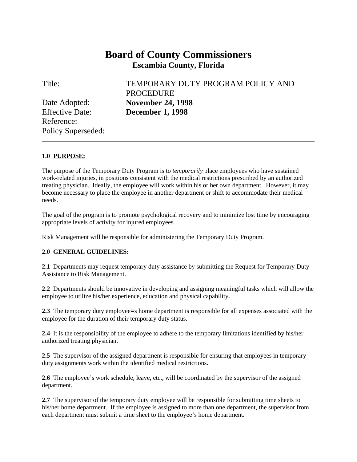# **Board of County Commissioners Escambia County, Florida**

Title: TEMPORARY DUTY PROGRAM POLICY AND PROCEDURE Date Adopted: **November 24, 1998** 

Effective Date: **December 1, 1998**  Reference: Policy Superseded:

## **1.0 PURPOSE:**

The purpose of the Temporary Duty Program is to *temporarily* place employees who have sustained work-related injuries, in positions consistent with the medical restrictions prescribed by an authorized treating physician. Ideally, the employee will work within his or her own department. However, it may become necessary to place the employee in another department or shift to accommodate their medical needs.

The goal of the program is to promote psychological recovery and to minimize lost time by encouraging appropriate levels of activity for injured employees.

Risk Management will be responsible for administering the Temporary Duty Program.

#### **2.0 GENERAL GUIDELINES:**

**2.1** Departments may request temporary duty assistance by submitting the Request for Temporary Duty Assistance to Risk Management.

**2.2** Departments should be innovative in developing and assigning meaningful tasks which will allow the employee to utilize his/her experience, education and physical capability.

**2.3** The temporary duty employee=s home department is responsible for all expenses associated with the employee for the duration of their temporary duty status.

**2.4** It is the responsibility of the employee to adhere to the temporary limitations identified by his/her authorized treating physician.

**2.5** The supervisor of the assigned department is responsible for ensuring that employees in temporary duty assignments work within the identified medical restrictions.

**2.6** The employee's work schedule, leave, etc., will be coordinated by the supervisor of the assigned department.

**2.7** The supervisor of the temporary duty employee will be responsible for submitting time sheets to his/her home department. If the employee is assigned to more than one department, the supervisor from each department must submit a time sheet to the employee's home department.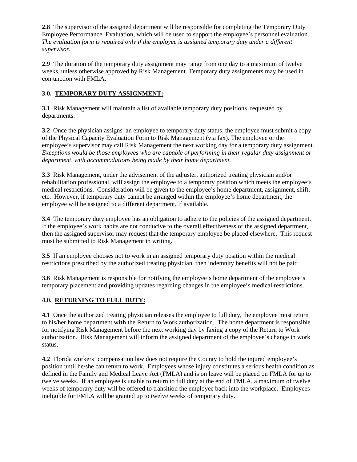**2.8** The supervisor of the assigned department will be responsible for completing the Temporary Duty Employee Performance Evaluation, which will be used to support the employee's personnel evaluation. *The evaluation form is required only if the employee is assigned temporary duty under a different supervisor.*

**2.9** The duration of the temporary duty assignment may range from one day to a maximum of twelve weeks, unless otherwise approved by Risk Management. Temporary duty assignments may be used in conjunction with FMLA.

## **3.0. TEMPORARY DUTY ASSIGNMENT:**

**3.1** Risk Management will maintain a list of available temporary duty positions requested by departments.

**3.2** Once the physician assigns an employee to temporary duty status, the employee must submit a copy of the Physical Capacity Evaluation Form to Risk Management (via fax). The employee or the employee's supervisor may call Risk Management the next working day for a temporary duty assignment. *Exceptions would be those employees who are capable of performing in their regular duty assignment or department, with accommodations being made by their home department.* 

**3.3** Risk Management, under the advisement of the adjuster, authorized treating physician and/or rehabilitation professional, will assign the employee to a temporary position which meets the employee's medical restrictions. Consideration will be given to the employee's home department, assignment, shift, etc. However, if temporary duty cannot be arranged within the employee's home department, the employee will be assigned to a different department, if available.

**3.4** The temporary duty employee has an obligation to adhere to the policies of the assigned department. If the employee's work habits are not conducive to the overall effectiveness of the assigned department, then the assigned supervisor may request that the temporary employee be placed elsewhere. This request must be submitted to Risk Management in writing.

**3.5** If an employee chooses not to work in an assigned temporary duty position within the medical restrictions prescribed by the authorized treating physician, then indemnity benefits will not be paid

**3.6** Risk Management is responsible for notifying the employee's home department of the employee's temporary placement and providing updates regarding changes in the employee's medical restrictions.

## **4.0. RETURNING TO FULL DUTY:**

**4.1** Once the authorized treating physician releases the employee to full duty, the employee must return to his/her home department **with** the Return to Work authorization. The home department is responsible for notifying Risk Management before the next working day by faxing a copy of the Return to Work authorization. Risk Management will inform the assigned department of the employee's change in work status.

**4.2** Florida workers' compensation law does not require the County to hold the injured employee's position until he/she can return to work. Employees whose injury constitutes a serious health condition as defined in the Family and Medical Leave Act (FMLA) and is on leave will be placed on FMLA for up to twelve weeks. If an employee is unable to return to full duty at the end of FMLA, a maximum of twelve weeks of temporary duty will be offered to transition the employee back into the workplace. Employees ineligible for FMLA will be granted up to twelve weeks of temporary duty.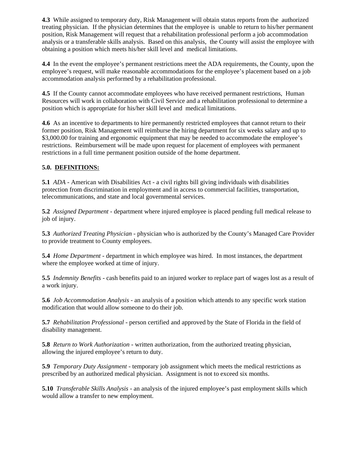**4.3** While assigned to temporary duty, Risk Management will obtain status reports from the authorized treating physician. If the physician determines that the employee is unable to return to his/her permanent position, Risk Management will request that a rehabilitation professional perform a job accommodation analysis or a transferable skills analysis. Based on this analysis, the County will assist the employee with obtaining a position which meets his/her skill level and medical limitations.

**4.4** In the event the employee's permanent restrictions meet the ADA requirements, the County, upon the employee's request, will make reasonable accommodations for the employee's placement based on a job accommodation analysis performed by a rehabilitation professional.

**4.5** If the County cannot accommodate employees who have received permanent restrictions, Human Resources will work in collaboration with Civil Service and a rehabilitation professional to determine a position which is appropriate for his/her skill level and medical limitations.

**4.6** As an incentive to departments to hire permanently restricted employees that cannot return to their former position, Risk Management will reimburse the hiring department for six weeks salary and up to \$3,000.00 for training and ergonomic equipment that may be needed to accommodate the employee's restrictions. Reimbursement will be made upon request for placement of employees with permanent restrictions in a full time permanent position outside of the home department.

## **5.0. DEFINITIONS:**

**5.1** *ADA* - American with Disabilities Act - a civil rights bill giving individuals with disabilities protection from discrimination in employment and in access to commercial facilities, transportation, telecommunications, and state and local governmental services.

**5.2** *Assigned Department* - department where injured employee is placed pending full medical release to job of injury.

**5.3** *Authorized Treating Physician* - physician who is authorized by the County's Managed Care Provider to provide treatment to County employees.

**5.4** *Home Department* - department in which employee was hired. In most instances, the department where the employee worked at time of injury.

**5.5** *Indemnity Benefits* - cash benefits paid to an injured worker to replace part of wages lost as a result of a work injury.

**5.6** *Job Accommodation Analysis* - an analysis of a position which attends to any specific work station modification that would allow someone to do their job.

**5.7** *Rehabilitation Professional* - person certified and approved by the State of Florida in the field of disability management.

**5.8** *Return to Work Authorization* - written authorization, from the authorized treating physician, allowing the injured employee's return to duty.

**5.9** *Temporary Duty Assignment* - temporary job assignment which meets the medical restrictions as prescribed by an authorized medical physician. Assignment is not to exceed six months.

**5.10** *Transferable Skills Analysis* - an analysis of the injured employee's past employment skills which would allow a transfer to new employment.